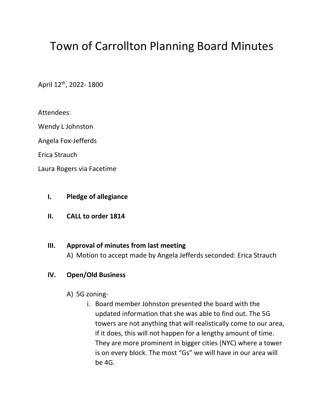# Town of Carrollton Planning Board Minutes

April 12th, 2022- 1800

Attendees:

Wendy L Johnston

Angela Fox-Jefferds

Erica Strauch

Laura Rogers via Facetime

### **I. Pledge of allegiance**

**II. CALL to order 1814**

# **III. Approval of minutes from last meeting**

A) Motion to accept made by Angela Jefferds seconded: Erica Strauch

## **IV. Open/Old Business**

- A) 5G zoning
	- i. Board member Johnston presented the board with the updated information that she was able to find out. The 5G towers are not anything that will realistically come to our area, if it does, this will not happen for a lengthy amount of time. They are more prominent in bigger cities (NYC) where a tower is on every block. The most "Gs" we will have in our area will be 4G.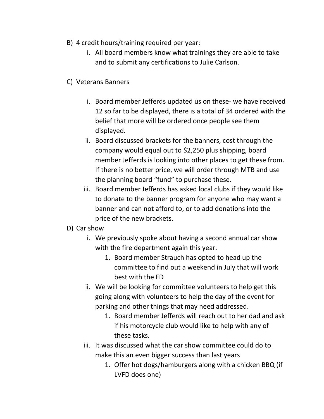- B) 4 credit hours/training required per year:
	- i. All board members know what trainings they are able to take and to submit any certifications to Julie Carlson.
- C) Veterans Banners
	- i. Board member Jefferds updated us on these- we have received 12 so far to be displayed, there is a total of 34 ordered with the belief that more will be ordered once people see them displayed.
	- ii. Board discussed brackets for the banners, cost through the company would equal out to \$2,250 plus shipping, board member Jefferds is looking into other places to get these from. If there is no better price, we will order through MTB and use the planning board "fund" to purchase these.
	- iii. Board member Jefferds has asked local clubs if they would like to donate to the banner program for anyone who may want a banner and can not afford to, or to add donations into the price of the new brackets.
- D) Car show
	- i. We previously spoke about having a second annual car show with the fire department again this year.
		- 1. Board member Strauch has opted to head up the committee to find out a weekend in July that will work best with the FD
	- ii. We will be looking for committee volunteers to help get this going along with volunteers to help the day of the event for parking and other things that may need addressed.
		- 1. Board member Jefferds will reach out to her dad and ask if his motorcycle club would like to help with any of these tasks.
	- iii. It was discussed what the car show committee could do to make this an even bigger success than last years
		- 1. Offer hot dogs/hamburgers along with a chicken BBQ (if LVFD does one)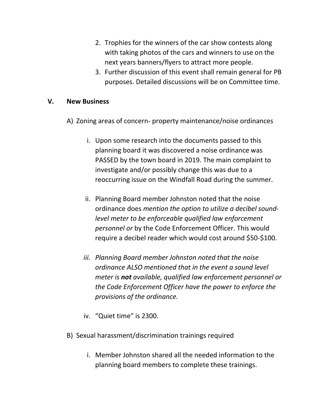- 2. Trophies for the winners of the car show contests along with taking photos of the cars and winners to use on the next years banners/flyers to attract more people.
- 3. Further discussion of this event shall remain general for PB purposes. Detailed discussions will be on Committee time.

### **V. New Business**

- A) Zoning areas of concern- property maintenance/noise ordinances
	- i. Upon some research into the documents passed to this planning board it was discovered a noise ordinance was PASSED by the town board in 2019. The main complaint to investigate and/or possibly change this was due to a reoccurring issue on the Windfall Road during the summer.
	- ii. Planning Board member Johnston noted that the noise ordinance does *mention the option to utilize a decibel soundlevel meter to be enforceable qualified law enforcement personnel or* by the Code Enforcement Officer. This would require a decibel reader which would cost around \$50-\$100.
	- *iii. Planning Board member Johnston noted that the noise ordinance ALSO mentioned that in the event a sound level meter is not available, qualified law enforcement personnel or the Code Enforcement Officer have the power to enforce the provisions of the ordinance.*
	- iv. "Quiet time" is 2300.
- B) Sexual harassment/discrimination trainings required
	- i. Member Johnston shared all the needed information to the planning board members to complete these trainings.